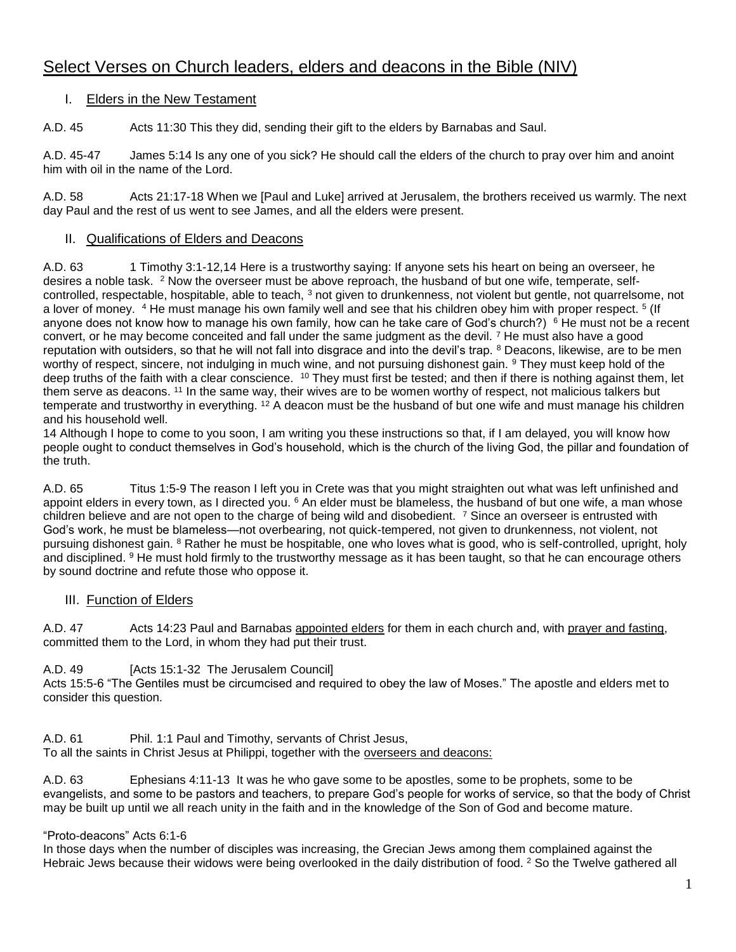# Select Verses on Church leaders, elders and deacons in the Bible (NIV)

## I. Elders in the New Testament

A.D. 45 Acts 11:30 This they did, sending their gift to the elders by Barnabas and Saul.

A.D. 45-47 James 5:14 Is any one of you sick? He should call the elders of the church to pray over him and anoint him with oil in the name of the Lord.

A.D. 58 Acts 21:17-18 When we [Paul and Luke] arrived at Jerusalem, the brothers received us warmly. The next day Paul and the rest of us went to see James, and all the elders were present.

#### II. Qualifications of Elders and Deacons

A.D. 63 1 Timothy 3:1-12,14 Here is a trustworthy saying: If anyone sets his heart on being an overseer, he desires a noble task. <sup>2</sup> Now the overseer must be above reproach, the husband of but one wife, temperate, selfcontrolled, respectable, hospitable, able to teach, <sup>3</sup> not given to drunkenness, not violent but gentle, not quarrelsome, not a lover of money. <sup>4</sup> He must manage his own family well and see that his children obey him with proper respect. <sup>5</sup> (If anyone does not know how to manage his own family, how can he take care of God's church?)  $6$  He must not be a recent convert, or he may become conceited and fall under the same judgment as the devil. <sup>7</sup> He must also have a good reputation with outsiders, so that he will not fall into disgrace and into the devil's trap. <sup>8</sup> Deacons, likewise, are to be men worthy of respect, sincere, not indulging in much wine, and not pursuing dishonest gain. <sup>9</sup> They must keep hold of the deep truths of the faith with a clear conscience. <sup>10</sup> They must first be tested; and then if there is nothing against them, let them serve as deacons. <sup>11</sup> In the same way, their wives are to be women worthy of respect, not malicious talkers but temperate and trustworthy in everything. <sup>12</sup> A deacon must be the husband of but one wife and must manage his children and his household well.

14 Although I hope to come to you soon, I am writing you these instructions so that, if I am delayed, you will know how people ought to conduct themselves in God's household, which is the church of the living God, the pillar and foundation of the truth.

A.D. 65 Titus 1:5-9 The reason I left you in Crete was that you might straighten out what was left unfinished and appoint elders in every town, as I directed you. <sup>6</sup> An elder must be blameless, the husband of but one wife, a man whose children believe and are not open to the charge of being wild and disobedient. <sup>7</sup> Since an overseer is entrusted with God's work, he must be blameless—not overbearing, not quick-tempered, not given to drunkenness, not violent, not pursuing dishonest gain. <sup>8</sup> Rather he must be hospitable, one who loves what is good, who is self-controlled, upright, holy and disciplined. <sup>9</sup> He must hold firmly to the trustworthy message as it has been taught, so that he can encourage others by sound doctrine and refute those who oppose it.

## III. Function of Elders

A.D. 47 Acts 14:23 Paul and Barnabas appointed elders for them in each church and, with prayer and fasting, committed them to the Lord, in whom they had put their trust.

A.D. 49 [Acts 15:1-32 The Jerusalem Council]

Acts 15:5-6 "The Gentiles must be circumcised and required to obey the law of Moses." The apostle and elders met to consider this question.

A.D. 61 Phil. 1:1 Paul and Timothy, servants of Christ Jesus, To all the saints in Christ Jesus at Philippi, together with the overseers and deacons:

A.D. 63 Ephesians 4:11-13 It was he who gave some to be apostles, some to be prophets, some to be evangelists, and some to be pastors and teachers, to prepare God's people for works of service, so that the body of Christ may be built up until we all reach unity in the faith and in the knowledge of the Son of God and become mature.

#### "Proto-deacons" Acts 6:1-6

In those days when the number of disciples was increasing, the Grecian Jews among them complained against the Hebraic Jews because their widows were being overlooked in the daily distribution of food. <sup>2</sup> So the Twelve gathered all